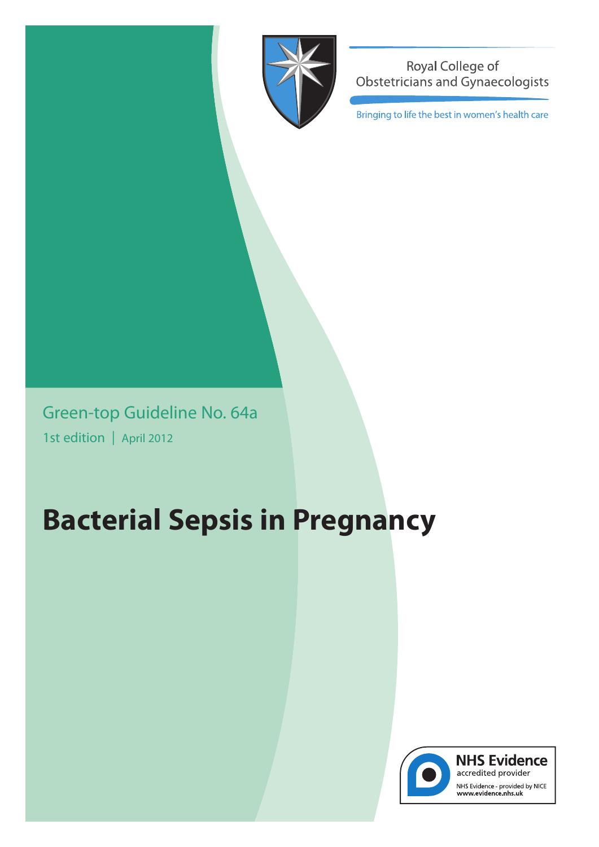

Royal College of **Obstetricians and Gynaecologists** 

Bringing to life the best in women's health care

Green-top Guideline No. 64a 1st edition | April 2012

# **Bacterial Sepsis in Pregnancy**



**NHS Evidence** accredited provider NHS Evidence - provided by NICE<br>www.evidence.nhs.uk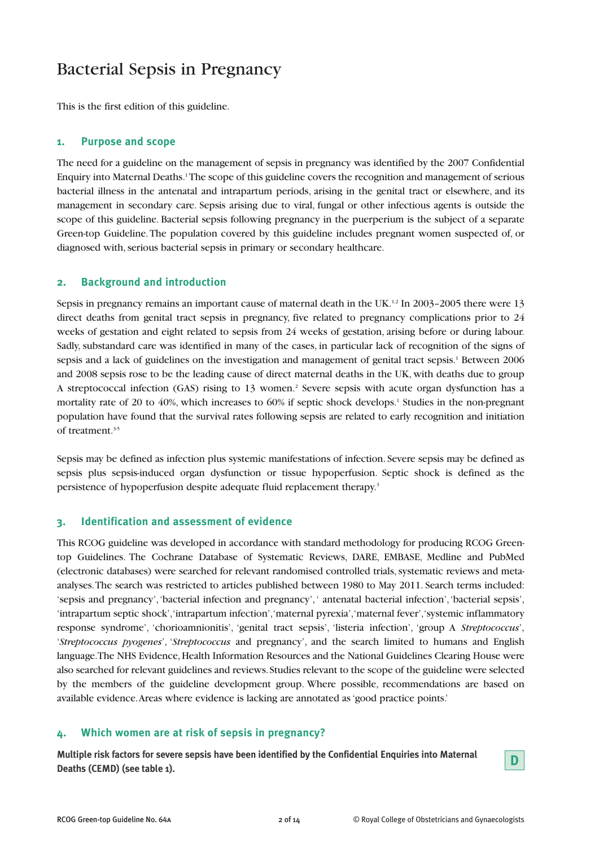## Bacterial Sepsis in Pregnancy

This is the first edition of this guideline.

#### **1. Purpose and scope**

The need for a guideline on the management of sepsis in pregnancy was identified by the 2007 Confidential Enquiry into Maternal Deaths.1The scope of this guideline covers the recognition and management of serious bacterial illness in the antenatal and intrapartum periods, arising in the genital tract or elsewhere, and its management in secondary care. Sepsis arising due to viral, fungal or other infectious agents is outside the scope of this guideline. Bacterial sepsis following pregnancy in the puerperium is the subject of a separate Green-top Guideline. The population covered by this guideline includes pregnant women suspected of, or diagnosed with, serious bacterial sepsis in primary or secondary healthcare.

#### **2. Background and introduction**

Sepsis in pregnancy remains an important cause of maternal death in the UK.<sup>1,2</sup> In 2003–2005 there were 13 direct deaths from genital tract sepsis in pregnancy, five related to pregnancy complications prior to 24 weeks of gestation and eight related to sepsis from 24 weeks of gestation, arising before or during labour. Sadly, substandard care was identified in many of the cases, in particular lack of recognition of the signs of sepsis and a lack of guidelines on the investigation and management of genital tract sepsis.<sup>1</sup> Between 2006 and 2008 sepsis rose to be the leading cause of direct maternal deaths in the UK, with deaths due to group A streptococcal infection (GAS) rising to 13 women.<sup>2</sup> Severe sepsis with acute organ dysfunction has a mortality rate of 20 to 40%, which increases to 60% if septic shock develops.1 Studies in the non-pregnant population have found that the survival rates following sepsis are related to early recognition and initiation of treatment<sup>35</sup>

Sepsis may be defined as infection plus systemic manifestations of infection. Severe sepsis may be defined as sepsis plus sepsis-induced organ dysfunction or tissue hypoperfusion. Septic shock is defined as the persistence of hypoperfusion despite adequate fluid replacement therapy.3

#### **3. Identification and assessment of evidence**

This RCOG guideline was developed in accordance with standard methodology for producing RCOG Greentop Guidelines. The Cochrane Database of Systematic Reviews, DARE, EMBASE, Medline and PubMed (electronic databases) were searched for relevant randomised controlled trials, systematic reviews and metaanalyses. The search was restricted to articles published between 1980 to May 2011. Search terms included: 'sepsis and pregnancy', 'bacterial infection and pregnancy', ' antenatal bacterial infection', 'bacterial sepsis', 'intrapartum septic shock', 'intrapartum infection', 'maternal pyrexia', 'maternal fever', 'systemic inflammatory response syndrome', 'chorioamnionitis', 'genital tract sepsis', 'listeria infection', 'group A *Streptococcus*', '*Streptococcus pyogenes*', '*Streptococcus* and pregnancy', and the search limited to humans and English language. The NHS Evidence, Health Information Resources and the National Guidelines Clearing House were also searched for relevant guidelines and reviews. Studies relevant to the scope of the guideline were selected by the members of the guideline development group. Where possible, recommendations are based on available evidence. Areas where evidence is lacking are annotated as 'good practice points.'

#### **4. Which women are at risk of sepsis in pregnancy?**

**Multiple risk factors for severe sepsis have been identified by the Confidential Enquiries into Maternal Deaths (CEMD) (see table 1). D**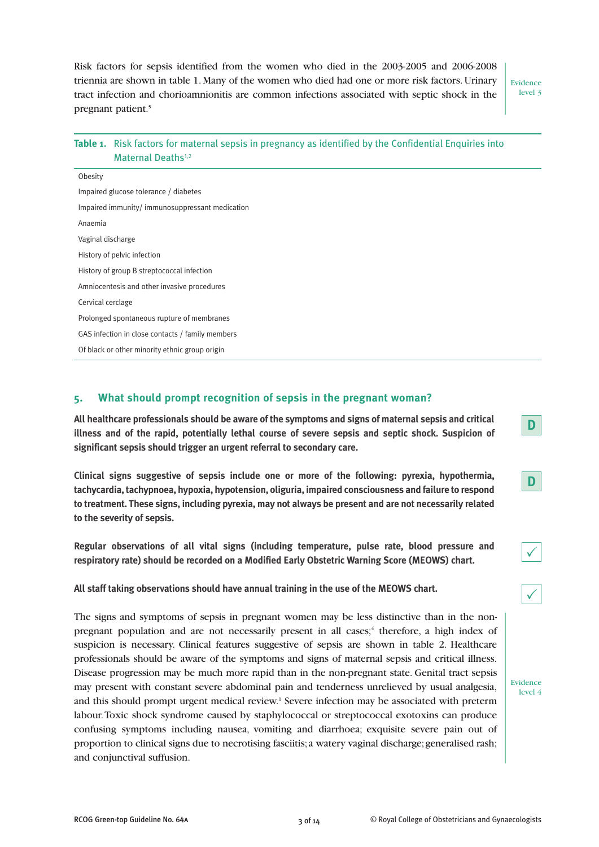Risk factors for sepsis identified from the women who died in the 2003-2005 and 2006-2008 triennia are shown in table 1. Many of the women who died had one or more risk factors. Urinary tract infection and chorioamnionitis are common infections associated with septic shock in the pregnant patient.<sup>5</sup>

Evidence level 3

Evidence level 4

**D**

**D**

 $\checkmark$ 

 $\checkmark$ 

|                                                  | Table 1. Risk factors for maternal sepsis in pregnancy as identified by the Confidential Enquiries into<br>Maternal Deaths <sup>1,2</sup> |  |
|--------------------------------------------------|-------------------------------------------------------------------------------------------------------------------------------------------|--|
| Obesity                                          |                                                                                                                                           |  |
|                                                  | Impaired glucose tolerance / diabetes                                                                                                     |  |
| Impaired immunity/immunosuppressant medication   |                                                                                                                                           |  |
| Anaemia                                          |                                                                                                                                           |  |
| Vaginal discharge                                |                                                                                                                                           |  |
| History of pelvic infection                      |                                                                                                                                           |  |
| History of group B streptococcal infection       |                                                                                                                                           |  |
| Amniocentesis and other invasive procedures      |                                                                                                                                           |  |
| Cervical cerclage                                |                                                                                                                                           |  |
| Prolonged spontaneous rupture of membranes       |                                                                                                                                           |  |
| GAS infection in close contacts / family members |                                                                                                                                           |  |
| Of black or other minority ethnic group origin   |                                                                                                                                           |  |
|                                                  |                                                                                                                                           |  |

#### **5. What should prompt recognition of sepsis in the pregnant woman?**

**All healthcare professionals should be aware of the symptoms and signs of maternal sepsis and critical illness and of the rapid, potentially lethal course of severe sepsis and septic shock. Suspicion of significant sepsis should trigger an urgent referral to secondary care.**

**Clinical signs suggestive of sepsis include one or more of the following: pyrexia, hypothermia, tachycardia, tachypnoea, hypoxia, hypotension, oliguria, impaired consciousness and failure to respond to treatment. These signs, including pyrexia, may not always be present and are not necessarily related to the severity of sepsis.**

**Regular observations of all vital signs (including temperature, pulse rate, blood pressure and respiratory rate) should be recorded on a Modified Early Obstetric Warning Score (MEOWS) chart.**

**All staff taking observations should have annual training in the use of the MEOWS chart.**

The signs and symptoms of sepsis in pregnant women may be less distinctive than in the nonpregnant population and are not necessarily present in all cases;<sup>4</sup> therefore, a high index of suspicion is necessary. Clinical features suggestive of sepsis are shown in table 2. Healthcare professionals should be aware of the symptoms and signs of maternal sepsis and critical illness. Disease progression may be much more rapid than in the non-pregnant state. Genital tract sepsis may present with constant severe abdominal pain and tenderness unrelieved by usual analgesia, and this should prompt urgent medical review.1 Severe infection may be associated with preterm labour. Toxic shock syndrome caused by staphylococcal or streptococcal exotoxins can produce confusing symptoms including nausea, vomiting and diarrhoea; exquisite severe pain out of proportion to clinical signs due to necrotising fasciitis; a watery vaginal discharge; generalised rash; and conjunctival suffusion.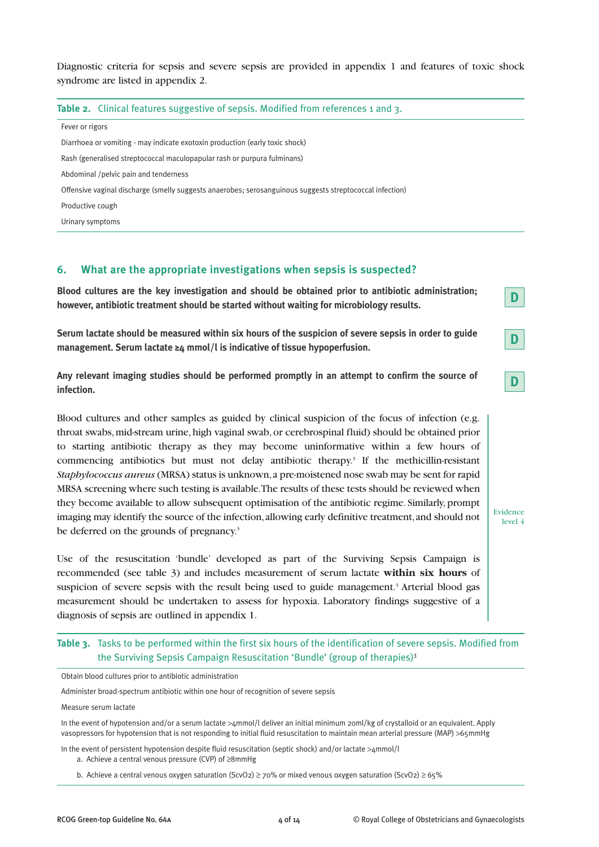Diagnostic criteria for sepsis and severe sepsis are provided in appendix 1 and features of toxic shock syndrome are listed in appendix 2.

#### Table 2. Clinical features suggestive of sepsis. Modified from references 1 and 3.

Fever or rigors

Diarrhoea or vomiting - may indicate exotoxin production (early toxic shock)

Rash (generalised streptococcal maculopapular rash or purpura fulminans)

Abdominal /pelvic pain and tenderness

Offensive vaginal discharge (smelly suggests anaerobes; serosanguinous suggests streptococcal infection)

Productive cough

Urinary symptoms

#### **6. What are the appropriate investigations when sepsis is suspected?**

**Blood cultures are the key investigation and should be obtained prior to antibiotic administration; however, antibiotic treatment should be started without waiting for microbiology results.**

**Serum lactate should be measured within six hours of the suspicion of severe sepsis in order to guide management. Serum lactate ≥4 mmol/l is indicative of tissue hypoperfusion.**

**Any relevant imaging studies should be performed promptly in an attempt to confirm the source of infection.**

Blood cultures and other samples as guided by clinical suspicion of the focus of infection (e.g. throat swabs, mid-stream urine, high vaginal swab, or cerebrospinal fluid) should be obtained prior to starting antibiotic therapy as they may become uninformative within a few hours of commencing antibiotics but must not delay antibiotic therapy.3 If the methicillin-resistant *Staphylococcus aureus* (MRSA) status is unknown, a pre-moistened nose swab may be sent for rapid MRSA screening where such testing is available. The results of these tests should be reviewed when they become available to allow subsequent optimisation of the antibiotic regime. Similarly, prompt imaging may identify the source of the infection, allowing early definitive treatment, and should not be deferred on the grounds of pregnancy.<sup>3</sup>

Use of the resuscitation 'bundle' developed as part of the Surviving Sepsis Campaign is recommended (see table 3) and includes measurement of serum lactate **within six hours** of suspicion of severe sepsis with the result being used to guide management.<sup>3</sup> Arterial blood gas measurement should be undertaken to assess for hypoxia. Laboratory findings suggestive of a diagnosis of sepsis are outlined in appendix 1.

#### **Table 3.** Tasks to be performed within the first six hours of the identification of severe sepsis. Modified from the Surviving Sepsis Campaign Resuscitation 'Bundle' (group of therapies)<sup>3</sup>

Obtain blood cultures prior to antibiotic administration

Administer broad-spectrum antibiotic within one hour of recognition of severe sepsis

Measure serum lactate

In the event of hypotension and/or a serum lactate >4mmol/l deliver an initial minimum 20ml/kg of crystalloid or an equivalent. Apply vasopressors for hypotension that is not responding to initial fluid resuscitation to maintain mean arterial pressure (MAP) >65mmHg

In the event of persistent hypotension despite fluid resuscitation (septic shock) and/or lactate >4mmol/l

a. Achieve a central venous pressure (CVP) of ≥8mmHg

b. Achieve a central venous oxygen saturation (ScvO2) ≥ 70% or mixed venous oxygen saturation (ScvO2) ≥ 65%

**D**

**D**

**D**

Evidence level 4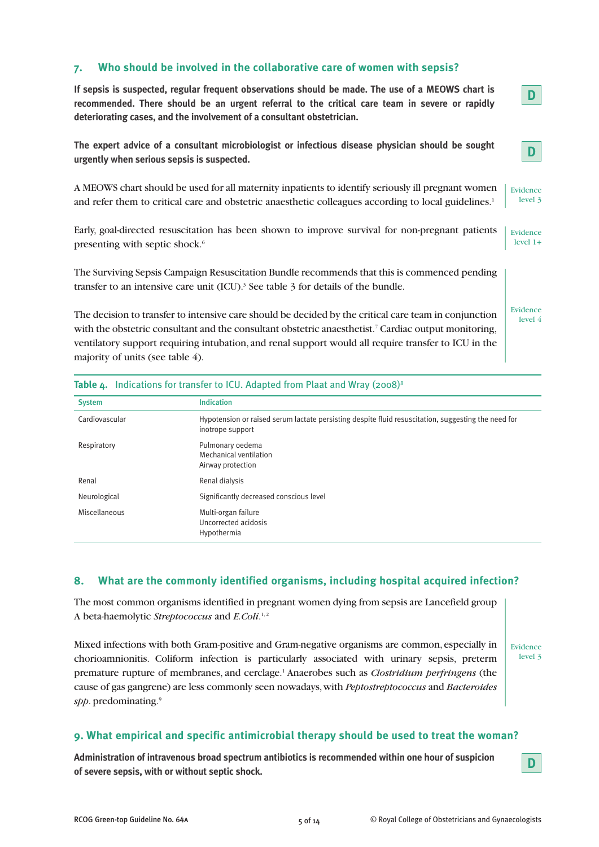#### **7. Who should be involved in the collaborative care of women with sepsis?**

**If sepsis is suspected, regular frequent observations should be made. The use of a MEOWS chart is recommended. There should be an urgent referral to the critical care team in severe or rapidly deteriorating cases, and the involvement of a consultant obstetrician. The expert advice of a consultant microbiologist or infectious disease physician should be sought urgently when serious sepsis is suspected.** A MEOWS chart should be used for all maternity inpatients to identify seriously ill pregnant women and refer them to critical care and obstetric anaesthetic colleagues according to local guidelines.<sup>1</sup> Early, goal-directed resuscitation has been shown to improve survival for non-pregnant patients presenting with septic shock.<sup>6</sup> The Surviving Sepsis Campaign Resuscitation Bundle recommends that this is commenced pending transfer to an intensive care unit  $(ICU)$ .<sup>3</sup> See table 3 for details of the bundle. The decision to transfer to intensive care should be decided by the critical care team in conjunction with the obstetric consultant and the consultant obstetric anaesthetist.<sup>7</sup> Cardiac output monitoring, ventilatory support requiring intubation, and renal support would all require transfer to ICU in the majority of units (see table 4). Table 4. Indications for transfer to ICU. Adapted from Plaat and Wray (2008)<sup>8</sup> System Indication Cardiovascular Hypotension or raised serum lactate persisting despite fluid resuscitation, suggesting the need for Evidence level 3 Evidence level 1+ Evidence level 4 **D D**

| Cardiovascular | Hypotension or raised serum lactate persisting despite fluid resuscitation, suggesting the need for<br>inotrope support |
|----------------|-------------------------------------------------------------------------------------------------------------------------|
| Respiratory    | Pulmonary oedema<br>Mechanical ventilation<br>Airway protection                                                         |
| Renal          | Renal dialysis                                                                                                          |
| Neurological   | Significantly decreased conscious level                                                                                 |
| Miscellaneous  | Multi-organ failure<br>Uncorrected acidosis<br>Hypothermia                                                              |

#### **8. What are the commonly identified organisms, including hospital acquired infection?**

The most common organisms identified in pregnant women dying from sepsis are Lancefield group A beta-haemolytic *Streptococcus* and *E.Coli*.<sup>1,2</sup>

Mixed infections with both Gram-positive and Gram-negative organisms are common, especially in chorioamnionitis. Coliform infection is particularly associated with urinary sepsis, preterm premature rupture of membranes, and cerclage.1 Anaerobes such as *Clostridium perfringens* (the cause of gas gangrene) are less commonly seen nowadays, with *Peptostreptococcus* and *Bacteroides* spp. predominating.<sup>9</sup>

Evidence level 3

#### **9. What empirical and specific antimicrobial therapy should be used to treat the woman?**

**Administration of intravenous broad spectrum antibiotics is recommended within one hour of suspicion of severe sepsis, with or without septic shock. D**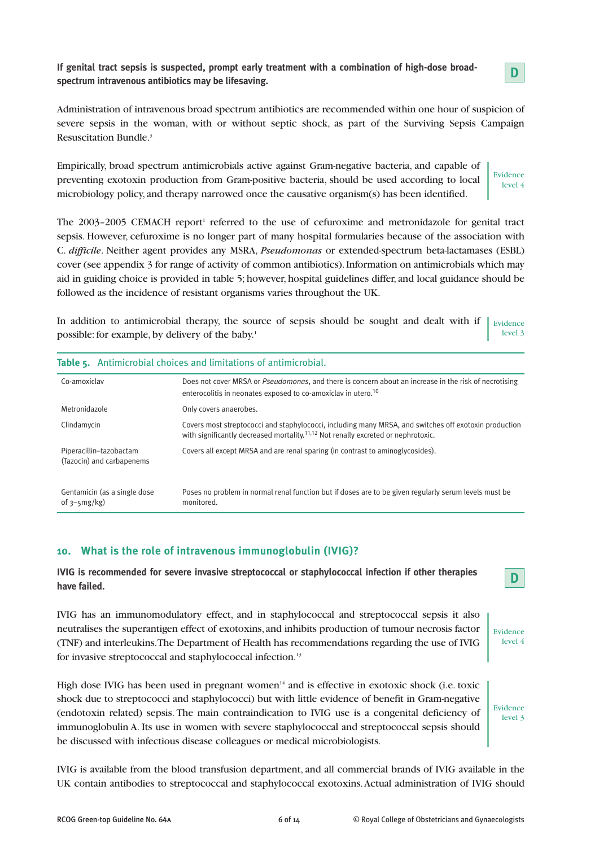**If genital tract sepsis is suspected, prompt early treatment with a combination of high-dose broadspectrum intravenous antibiotics may be lifesaving.**



Administration of intravenous broad spectrum antibiotics are recommended within one hour of suspicion of severe sepsis in the woman, with or without septic shock, as part of the Surviving Sepsis Campaign Resuscitation Bundle.3

Empirically, broad spectrum antimicrobials active against Gram-negative bacteria, and capable of preventing exotoxin production from Gram-positive bacteria, should be used according to local microbiology policy, and therapy narrowed once the causative organism(s) has been identified.

Evidence level 4

The  $2003-2005$  CEMACH report<sup>1</sup> referred to the use of cefuroxime and metronidazole for genital tract sepsis. However, cefuroxime is no longer part of many hospital formularies because of the association with C. *difficile*. Neither agent provides any MSRA, *Pseudomonas* or extended-spectrum beta-lactamases (ESBL) cover (see appendix 3 for range of activity of common antibiotics). Information on antimicrobials which may aid in guiding choice is provided in table 5; however, hospital guidelines differ, and local guidance should be followed as the incidence of resistant organisms varies throughout the UK.

In addition to antimicrobial therapy, the source of sepsis should be sought and dealt with if possible: for example, by delivery of the baby.<sup>1</sup> Evidence level 3

| Table 5. Antimicrobial choices and limitations of antimicrobial. |                                                                                                                                                                                                        |  |
|------------------------------------------------------------------|--------------------------------------------------------------------------------------------------------------------------------------------------------------------------------------------------------|--|
| Co-amoxiclay                                                     | Does not cover MRSA or <i>Pseudomonas</i> , and there is concern about an increase in the risk of necrotising<br>enterocolitis in neonates exposed to co-amoxiclay in utero. <sup>10</sup>             |  |
| Metronidazole                                                    | Only covers anaerobes.                                                                                                                                                                                 |  |
| Clindamycin                                                      | Covers most streptococci and staphylococci, including many MRSA, and switches off exotoxin production<br>with significantly decreased mortality. <sup>11,12</sup> Not renally excreted or nephrotoxic. |  |
| Piperacillin-tazobactam<br>(Tazocin) and carbapenems             | Covers all except MRSA and are renal sparing (in contrast to aminoglycosides).                                                                                                                         |  |
| Gentamicin (as a single dose<br>of $3-5mg/kg$ )                  | Poses no problem in normal renal function but if doses are to be given regularly serum levels must be<br>monitored.                                                                                    |  |

#### **10. What is the role of intravenous immunoglobulin (IVIG)?**

**IVIG is recommended for severe invasive streptococcal or staphylococcal infection if other therapies have failed.**

IVIG has an immunomodulatory effect, and in staphylococcal and streptococcal sepsis it also neutralises the superantigen effect of exotoxins, and inhibits production of tumour necrosis factor (TNF) and interleukins. The Department of Health has recommendations regarding the use of IVIG for invasive streptococcal and staphylococcal infection.13



Evidence level 4

**D**

High dose IVIG has been used in pregnant women<sup>14</sup> and is effective in exotoxic shock (i.e. toxic shock due to streptococci and staphylococci) but with little evidence of benefit in Gram-negative (endotoxin related) sepsis. The main contraindication to IVIG use is a congenital deficiency of immunoglobulin A. Its use in women with severe staphylococcal and streptococcal sepsis should be discussed with infectious disease colleagues or medical microbiologists.

IVIG is available from the blood transfusion department, and all commercial brands of IVIG available in the UK contain antibodies to streptococcal and staphylococcal exotoxins. Actual administration of IVIG should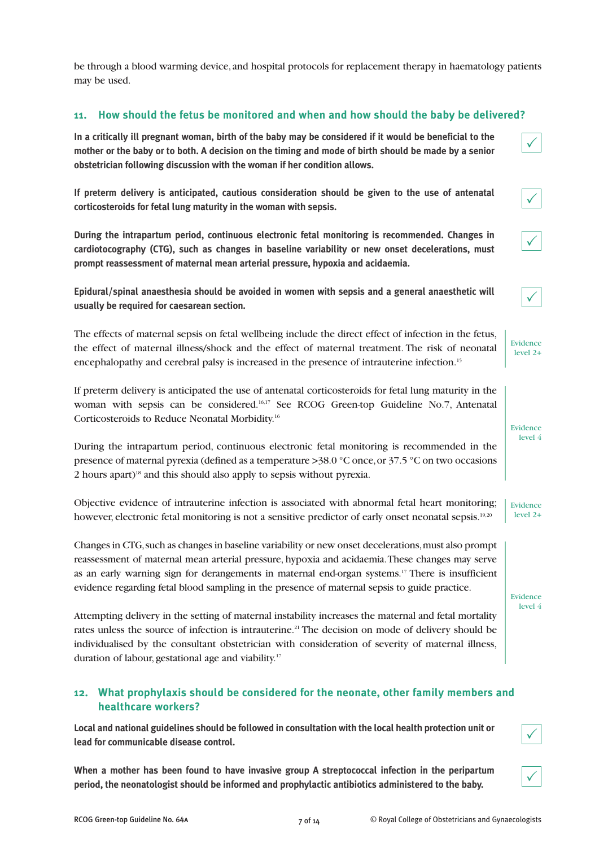be through a blood warming device, and hospital protocols for replacement therapy in haematology patients may be used.

#### **11. How should the fetus be monitored and when and how should the baby be delivered?**

**In a critically ill pregnant woman, birth of the baby may be considered if it would be beneficial to the mother or the baby or to both. A decision on the timing and mode of birth should be made by a senior obstetrician following discussion with the woman if her condition allows.**

**If preterm delivery is anticipated, cautious consideration should be given to the use of antenatal corticosteroids for fetal lung maturity in the woman with sepsis.**

**During the intrapartum period, continuous electronic fetal monitoring is recommended. Changes in cardiotocography (CTG), such as changes in baseline variability or new onset decelerations, must prompt reassessment of maternal mean arterial pressure, hypoxia and acidaemia.**

**Epidural/spinal anaesthesia should be avoided in women with sepsis and a general anaesthetic will usually be required for caesarean section.**

The effects of maternal sepsis on fetal wellbeing include the direct effect of infection in the fetus, the effect of maternal illness/shock and the effect of maternal treatment. The risk of neonatal encephalopathy and cerebral palsy is increased in the presence of intrauterine infection.<sup>15</sup>

If preterm delivery is anticipated the use of antenatal corticosteroids for fetal lung maturity in the woman with sepsis can be considered.16,17 See RCOG Green-top Guideline No.7, Antenatal Corticosteroids to Reduce Neonatal Morbidity.16

During the intrapartum period, continuous electronic fetal monitoring is recommended in the presence of maternal pyrexia (defined as a temperature >38.0 °C once, or 37.5 °C on two occasions 2 hours apart)18 and this should also apply to sepsis without pyrexia.

Objective evidence of intrauterine infection is associated with abnormal fetal heart monitoring; however, electronic fetal monitoring is not a sensitive predictor of early onset neonatal sepsis.<sup>19,20</sup>

Changes in CTG, such as changes in baseline variability or new onset decelerations, must also prompt reassessment of maternal mean arterial pressure, hypoxia and acidaemia. These changes may serve as an early warning sign for derangements in maternal end-organ systems.17 There is insufficient evidence regarding fetal blood sampling in the presence of maternal sepsis to guide practice.

Attempting delivery in the setting of maternal instability increases the maternal and fetal mortality rates unless the source of infection is intrauterine.<sup>21</sup> The decision on mode of delivery should be individualised by the consultant obstetrician with consideration of severity of maternal illness, duration of labour, gestational age and viability.17

#### **12. What prophylaxis should be considered for the neonate, other family members and healthcare workers?**

**Local and national guidelines should be followed in consultation with the local health protection unit or lead for communicable disease control.**

**When a mother has been found to have invasive group A streptococcal infection in the peripartum period, the neonatologist should be informed and prophylactic antibiotics administered to the baby.**

 $\checkmark$ 

 $\checkmark$ 

 $\checkmark$ 

| Evidence   |  |
|------------|--|
| $level 2+$ |  |

| level 4 |  |
|---------|--|
|         |  |
|         |  |

Evidence

Evidence level 2+

Evidence level 4



 $\checkmark$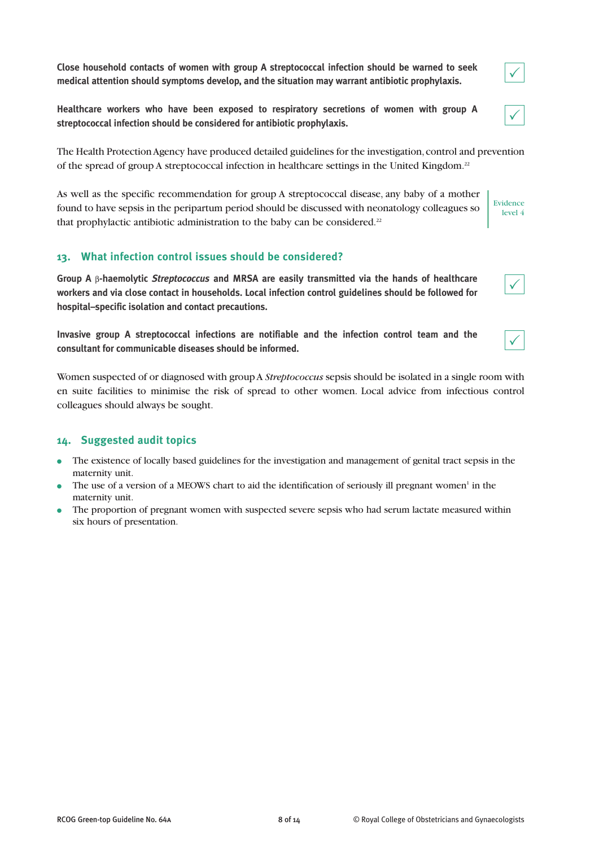**Close household contacts of women with group A streptococcal infection should be warned to seek medical attention should symptoms develop, and the situation may warrant antibiotic prophylaxis.**

**Healthcare workers who have been exposed to respiratory secretions of women with group A streptococcal infection should be considered for antibiotic prophylaxis.**

The Health Protection Agency have produced detailed guidelines for the investigation, control and prevention of the spread of group A streptococcal infection in healthcare settings in the United Kingdom.22

As well as the specific recommendation for group A streptococcal disease, any baby of a mother found to have sepsis in the peripartum period should be discussed with neonatology colleagues so that prophylactic antibiotic administration to the baby can be considered.<sup>22</sup>

#### **13. What infection control issues should be considered?**

**Group A** β**-haemolytic** *Streptococcus* **and MRSA are easily transmitted via the hands of healthcare workers and via close contact in households. Local infection control guidelines should be followed for hospital–specific isolation and contact precautions.**

**Invasive group A streptococcal infections are notifiable and the infection control team and the consultant for communicable diseases should be informed.**

Women suspected of or diagnosed with group A *Streptococcus* sepsis should be isolated in a single room with en suite facilities to minimise the risk of spread to other women. Local advice from infectious control colleagues should always be sought.

#### **14. Suggested audit topics**

- The existence of locally based guidelines for the investigation and management of genital tract sepsis in the maternity unit.
- The use of a version of a MEOWS chart to aid the identification of seriously ill pregnant women<sup>1</sup> in the maternity unit.
- The proportion of pregnant women with suspected severe sepsis who had serum lactate measured within six hours of presentation.



 $\checkmark$ 



Evidence level 4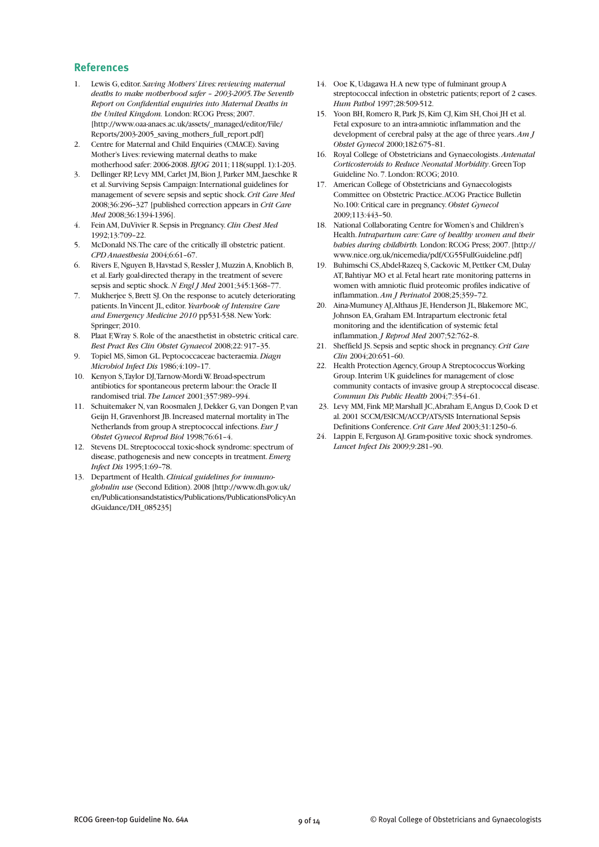#### **References**

- 1. Lewis G, editor. *Saving Mothers' Lives: reviewing maternal deaths to make motherhood safer – 2003-2005. The Seventh Report on Confidential enquiries into Maternal Deaths in the United Kingdom.* London: RCOG Press; 2007. [http://www.oaa-anaes.ac.uk/assets/\_managed/editor/File/ Reports/2003-2005\_saving\_mothers\_full\_report.pdf]
- 2. Centre for Maternal and Child Enquiries (CMACE). Saving Mother's Lives: reviewing maternal deaths to make motherhood safer: 2006-2008. *BJOG* 2011; 118(suppl. 1):1-203.
- 3. Dellinger RP, Levy MM, Carlet JM, Bion J, Parker MM, Jaeschke R et al. Surviving Sepsis Campaign: International guidelines for management of severe sepsis and septic shock. *Crit Care Med* 2008;36:296–327 [published correction appears in *Crit Care Med* 2008;36:1394-1396].
- 4. Fein AM, DuVivier R. Sepsis in Pregnancy. *Clin Chest Med* 1992;13:709–22.
- 5. McDonald NS. The care of the critically ill obstetric patient. *CPD Anaesthesia* 2004;6:61–67.
- 6. Rivers E, Nguyen B, Havstad S, Ressler J, Muzzin A, Knoblich B, et al. Early goal-directed therapy in the treatment of severe sepsis and septic shock. *N Engl J Med* 2001;345:1368–77.
- 7. Mukherjee S, Brett SJ. On the response to acutely deteriorating patients. In Vincent JL, editor. *Yearbook of Intensive Care and Emergency Medicine 2010* pp531-538. New York: Springer; 2010.
- 8. Plaat F, Wray S. Role of the anaesthetist in obstetric critical care. *Best Pract Res Clin Obstet Gynaecol* 2008;22: 917–35.
- 9. Topiel MS, Simon GL. Peptococcaceae bacteraemia. *Diagn Microbiol Infect Dis* 1986;4:109–17.
- 10. Kenyon S, Taylor DJ, Tarnow-Mordi W. Broad-spectrum antibiotics for spontaneous preterm labour: the Oracle II randomised trial. *The Lancet* 2001;357:989–994.
- 11. Schuitemaker N, van Roosmalen J, Dekker G, van Dongen P, van Geijn H, Gravenhorst JB. Increased maternal mortality in The Netherlands from group A streptococcal infections. *Eur J Obstet Gynecol Reprod Biol* 1998;76:61–4.
- 12. Stevens DL. Streptococcal toxic-shock syndrome: spectrum of disease, pathogenesis and new concepts in treatment. *Emerg Infect Dis* 1995;1:69–78.
- 13. Department of Health. *Clinical guidelines for immunoglobulin use* (Second Edition). 2008 [http://www.dh.gov.uk/ en/Publicationsandstatistics/Publications/PublicationsPolicyAn dGuidance/DH\_085235]
- 14. Ooe K, Udagawa H. A new type of fulminant group A streptococcal infection in obstetric patients; report of 2 cases. *Hum Pathol* 1997;28:509-512.
- 15. Yoon BH, Romero R, Park JS, Kim CJ, Kim SH, Choi JH et al. Fetal exposure to an intra-amniotic inflammation and the development of cerebral palsy at the age of three years. *Am J Obstet Gynecol* 2000;182:675–81.
- 16. Royal College of Obstetricians and Gynaecologists. *Antenatal Corticosteroids to Reduce Neonatal Morbidity*. Green Top Guideline No. 7. London: RCOG; 2010.
- 17. American College of Obstetricians and Gynaecologists Committee on Obstetric Practice. ACOG Practice Bulletin No.100: Critical care in pregnancy. *Obstet Gynecol* 2009;113:443–50.
- 18. National Collaborating Centre for Women's and Children's Health. *Intrapartum care: Care of healthy women and their babies during childbirth.* London: RCOG Press; 2007. [http:// www.nice.org.uk/nicemedia/pdf/CG55FullGuideline.pdf]
- 19. Buhimschi CS, Abdel-Razeq S, Cackovic M, Pettker CM, Dulay AT, Bahtiyar MO et al. Fetal heart rate monitoring patterns in women with amniotic fluid proteomic profiles indicative of inflammation. *Am J Perinatol* 2008;25;359–72.
- 20. Aina-Mumuney AJ, Althaus JE, Henderson JL, Blakemore MC, Johnson EA, Graham EM. Intrapartum electronic fetal monitoring and the identification of systemic fetal inflammation. *J Reprod Med* 2007;52:762–8.
- 21. Sheffield JS. Sepsis and septic shock in pregnancy. *Crit Care Clin* 2004;20:651–60.
- 22. Health Protection Agency, Group A Streptococcus Working Group. Interim UK guidelines for management of close community contacts of invasive group A streptococcal disease. *Commun Dis Public Health* 2004;7:354–61.
- 23. Levy MM, Fink MP, Marshall JC, Abraham E, Angus D, Cook D et al. 2001 SCCM/ESICM/ACCP/ATS/SIS International Sepsis Definitions Conference. *Crit Care Med* 2003;31:1250–6.
- 24. Lappin E, Ferguson AJ. Gram-positive toxic shock syndromes. *Lancet Infect Dis* 2009;9:281–90.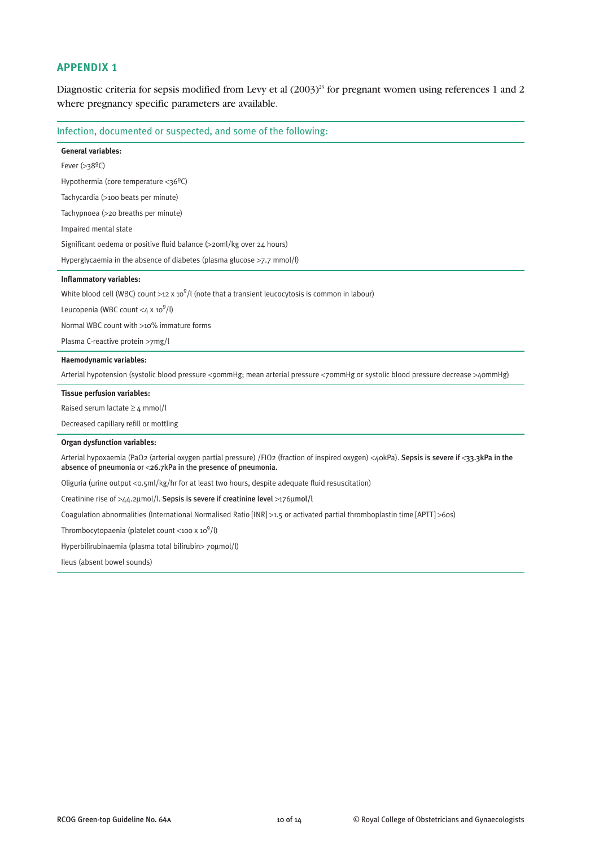Diagnostic criteria for sepsis modified from Levy et al  $(2003)^{23}$  for pregnant women using references 1 and 2 where pregnancy specific parameters are available.

|  |  |  | Infection, documented or suspected, and some of the following: |
|--|--|--|----------------------------------------------------------------|
|--|--|--|----------------------------------------------------------------|

| General variables:                                                                                                                                                                                              |
|-----------------------------------------------------------------------------------------------------------------------------------------------------------------------------------------------------------------|
| Fever $(>38^{\circ}C)$                                                                                                                                                                                          |
| Hypothermia (core temperature $<$ 36 <sup>o</sup> C)                                                                                                                                                            |
| Tachycardia (>100 beats per minute)                                                                                                                                                                             |
| Tachypnoea (>20 breaths per minute)                                                                                                                                                                             |
| Impaired mental state                                                                                                                                                                                           |
| Significant oedema or positive fluid balance (>20ml/kg over 24 hours)                                                                                                                                           |
| Hyperglycaemia in the absence of diabetes (plasma glucose $>7.7$ mmol/l)                                                                                                                                        |
| <b>Inflammatory variables:</b>                                                                                                                                                                                  |
| White blood cell (WBC) count >12 x 10 <sup>9</sup> /l (note that a transient leucocytosis is common in labour)                                                                                                  |
| Leucopenia (WBC count $\langle 4 \times 10^9/1 \rangle$                                                                                                                                                         |
| Normal WBC count with >10% immature forms                                                                                                                                                                       |
| Plasma C-reactive protein >7mg/l                                                                                                                                                                                |
| Haemodynamic variables:                                                                                                                                                                                         |
| Arterial hypotension (systolic blood pressure <90mmHg; mean arterial pressure <70mmHg or systolic blood pressure decrease >40mmHg)                                                                              |
| <b>Tissue perfusion variables:</b>                                                                                                                                                                              |
| Raised serum lactate $\geq 4$ mmol/l                                                                                                                                                                            |
| Decreased capillary refill or mottling                                                                                                                                                                          |
| <b>Organ dysfunction variables:</b>                                                                                                                                                                             |
| Arterial hypoxaemia (PaO2 (arterial oxygen partial pressure) /FIO2 (fraction of inspired oxygen) <40kPa). Sepsis is severe if <33.3kPa in the<br>absence of pneumonia or <26.7kPa in the presence of pneumonia. |
| Oliguria (urine output <0.5ml/kg/hr for at least two hours, despite adequate fluid resuscitation)                                                                                                               |
| Creatinine rise of >44.2µmol/l. Sepsis is severe if creatinine level >176µmol/l                                                                                                                                 |
| Coagulation abnormalities (International Normalised Ratio [INR] >1.5 or activated partial thromboplastin time [APTT] >60s)                                                                                      |
| Thrombocytopaenia (platelet count <100 x $10^9$ /l)                                                                                                                                                             |
| Hyperbilirubinaemia (plasma total bilirubin> 70µmol/l)                                                                                                                                                          |
|                                                                                                                                                                                                                 |

Ileus (absent bowel sounds)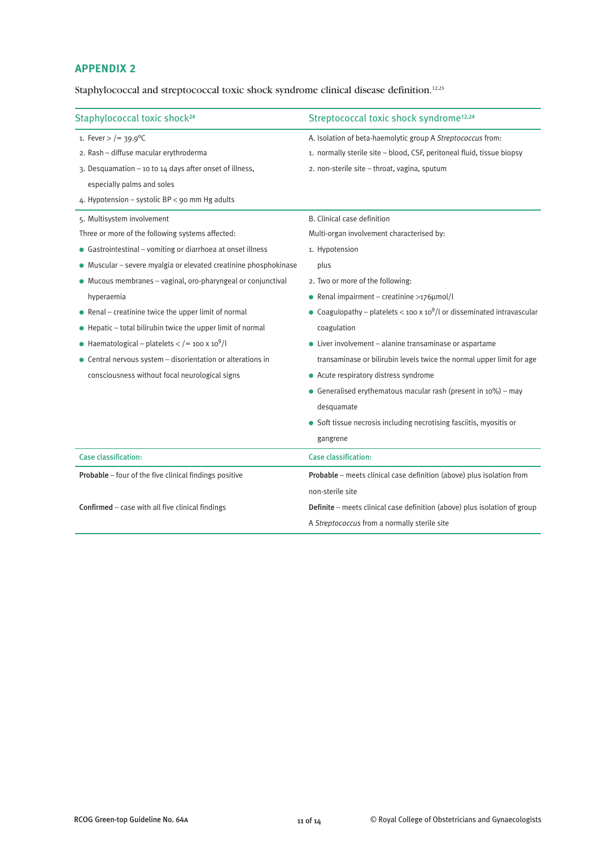Staphylococcal and streptococcal toxic shock syndrome clinical disease definition.<sup>12,23</sup>

| Staphylococcal toxic shock <sup>24</sup>                            | Streptococcal toxic shock syndrome <sup>12,24</sup>                                 |
|---------------------------------------------------------------------|-------------------------------------------------------------------------------------|
| 1. Fever > $/ = 39.9$ °C                                            | A. Isolation of beta-haemolytic group A Streptococcus from:                         |
| 2. Rash - diffuse macular erythroderma                              | 1. normally sterile site - blood, CSF, peritoneal fluid, tissue biopsy              |
| 3. Desquamation - 10 to 14 days after onset of illness,             | 2. non-sterile site - throat, vagina, sputum                                        |
| especially palms and soles                                          |                                                                                     |
| 4. Hypotension - systolic BP < 90 mm Hg adults                      |                                                                                     |
| 5. Multisystem involvement                                          | B. Clinical case definition                                                         |
| Three or more of the following systems affected:                    | Multi-organ involvement characterised by:                                           |
| • Gastrointestinal – vomiting or diarrhoea at onset illness         | 1. Hypotension                                                                      |
| · Muscular - severe myalgia or elevated creatinine phosphokinase    | plus                                                                                |
| • Mucous membranes - vaginal, oro-pharyngeal or conjunctival        | 2. Two or more of the following:                                                    |
| hyperaemia                                                          | • Renal impairment – creatinine >176 $\mu$ mol/l                                    |
| $\bullet$ Renal – creatinine twice the upper limit of normal        | • Coagulopathy – platelets < 100 x 10 <sup>9</sup> /l or disseminated intravascular |
| • Hepatic - total bilirubin twice the upper limit of normal         | coagulation                                                                         |
| • Haematological – platelets < $/$ = 100 x 10 <sup>9</sup> /l       | $\bullet$ Liver involvement – alanine transaminase or aspartame                     |
| $\bullet$ Central nervous system – disorientation or alterations in | transaminase or bilirubin levels twice the normal upper limit for age               |
| consciousness without focal neurological signs                      | • Acute respiratory distress syndrome                                               |
|                                                                     | • Generalised erythematous macular rash (present in $10\%$ ) – may                  |
|                                                                     | desquamate                                                                          |
|                                                                     | • Soft tissue necrosis including necrotising fasciitis, myositis or                 |
|                                                                     | gangrene                                                                            |
| <b>Case classification:</b>                                         | <b>Case classification:</b>                                                         |
| Probable - four of the five clinical findings positive              | Probable - meets clinical case definition (above) plus isolation from               |
|                                                                     | non-sterile site                                                                    |
| Confirmed - case with all five clinical findings                    | Definite – meets clinical case definition (above) plus isolation of group           |
|                                                                     | A Streptococcus from a normally sterile site                                        |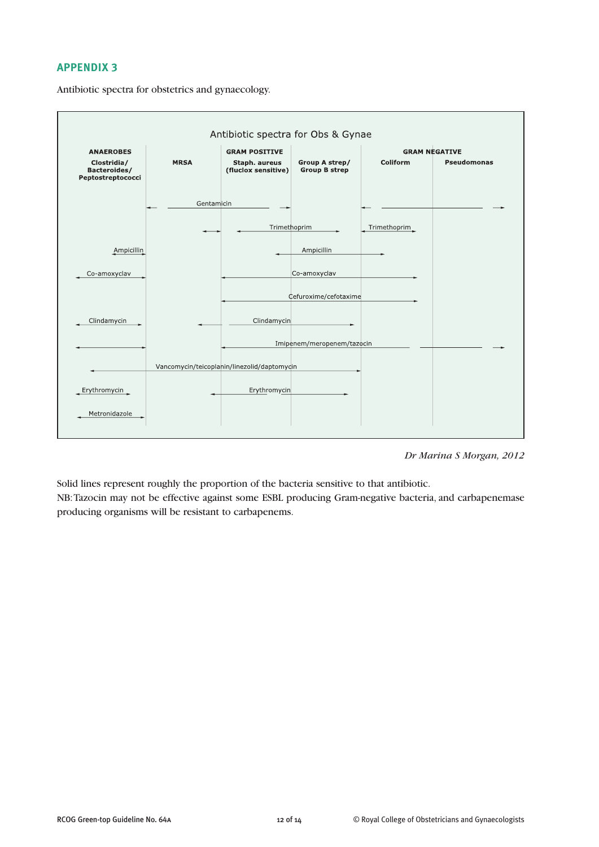Antibiotic spectra for Obs & Gynae **ANAEROBES GRAM POSITIVE GRAM NEGATIVE** Group A strep/<br>Group B strep Clostridia/<br>Bacteroides/ **MRSA** Coliform Staph. aureus<br>(fluclox sensitive) Pseudomonas Peptostreptococci Gentamicin Trimethoprim Trimethoprim Ampicillin Ampicillin Co-amoxyclav Co-amoxyclav Cefuroxime/cefotaxime Clindamycin Clindamycin Imipenem/meropenem/tazocin Vancomycin/teicoplanin/linezolid/daptomycin Erythromycin Erythromycin Metronidazole

Antibiotic spectra for obstetrics and gynaecology.

*Dr Marina S Morgan, 2012*

Solid lines represent roughly the proportion of the bacteria sensitive to that antibiotic. NB: Tazocin may not be effective against some ESBL producing Gram-negative bacteria, and carbapenemase producing organisms will be resistant to carbapenems.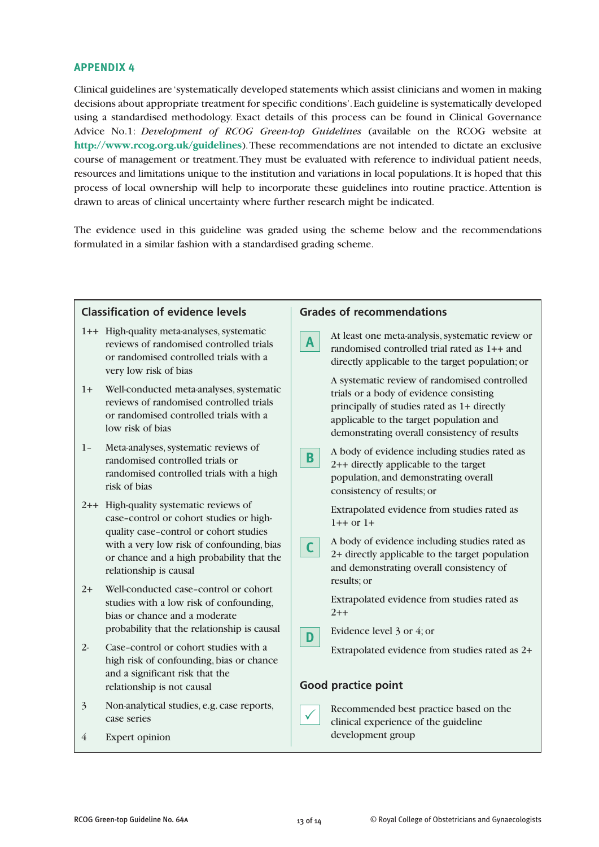Clinical guidelines are 'systematically developed statements which assist clinicians and women in making decisions about appropriate treatment for specific conditions'. Each guideline is systematically developed using a standardised methodology. Exact details of this process can be found in Clinical Governance Advice No.1: *Development of RCOG Green-top Guidelines* (available on the RCOG website at **http://www.rcog.org.uk/guidelines**). These recommendations are not intended to dictate an exclusive course of management or treatment. They must be evaluated with reference to individual patient needs, resources and limitations unique to the institution and variations in local populations. It is hoped that this process of local ownership will help to incorporate these guidelines into routine practice. Attention is drawn to areas of clinical uncertainty where further research might be indicated.

The evidence used in this guideline was graded using the scheme below and the recommendations formulated in a similar fashion with a standardised grading scheme.